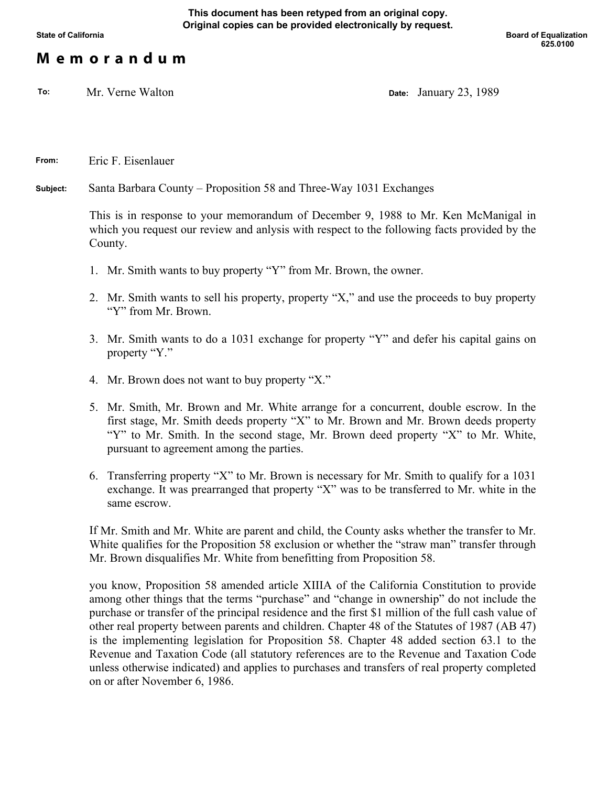## **M e m o r a n d u m**

**To:** Mr. Verne Walton **Date:** January 23, 1989

**From:** Eric F. Eisenlauer

**Subject:** Santa Barbara County – Proposition 58 and Three-Way 1031 Exchanges

This is in response to your memorandum of December 9, 1988 to Mr. Ken McManigal in which you request our review and anlysis with respect to the following facts provided by the County.

- 1. Mr. Smith wants to buy property "Y" from Mr. Brown, the owner.
- 2. Mr. Smith wants to sell his property, property "X," and use the proceeds to buy property "Y" from Mr. Brown.
- 3. Mr. Smith wants to do a 1031 exchange for property "Y" and defer his capital gains on property "Y."
- 4. Mr. Brown does not want to buy property "X."
- 5. Mr. Smith, Mr. Brown and Mr. White arrange for a concurrent, double escrow. In the first stage, Mr. Smith deeds property "X" to Mr. Brown and Mr. Brown deeds property "Y" to Mr. Smith. In the second stage, Mr. Brown deed property "X" to Mr. White, pursuant to agreement among the parties.
- 6. Transferring property "X" to Mr. Brown is necessary for Mr. Smith to qualify for a 1031 exchange. It was prearranged that property "X" was to be transferred to Mr. white in the same escrow.

If Mr. Smith and Mr. White are parent and child, the County asks whether the transfer to Mr. White qualifies for the Proposition 58 exclusion or whether the "straw man" transfer through Mr. Brown disqualifies Mr. White from benefitting from Proposition 58.

you know, Proposition 58 amended article XIIIA of the California Constitution to provide among other things that the terms "purchase" and "change in ownership" do not include the purchase or transfer of the principal residence and the first \$1 million of the full cash value of other real property between parents and children. Chapter 48 of the Statutes of 1987 (AB 47) is the implementing legislation for Proposition 58. Chapter 48 added section 63.1 to the Revenue and Taxation Code (all statutory references are to the Revenue and Taxation Code unless otherwise indicated) and applies to purchases and transfers of real property completed on or after November 6, 1986.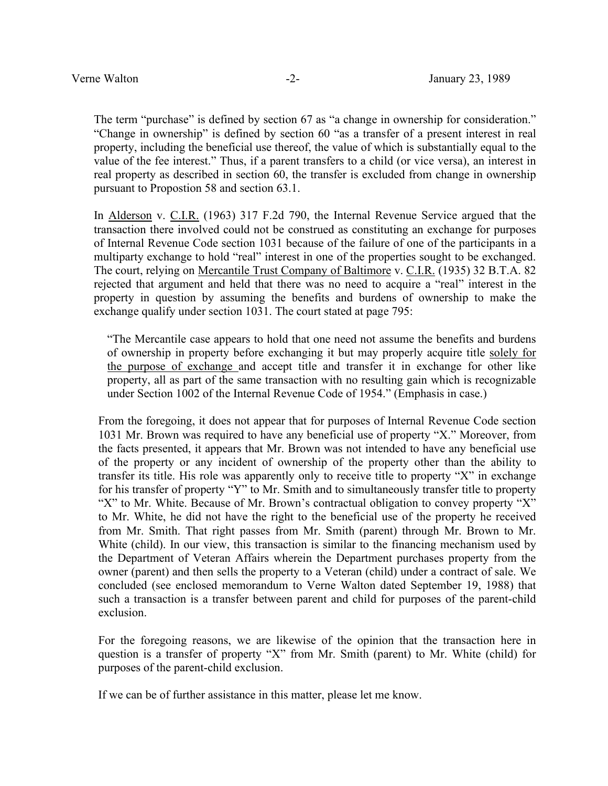The term "purchase" is defined by section 67 as "a change in ownership for consideration." "Change in ownership" is defined by section 60 "as a transfer of a present interest in real property, including the beneficial use thereof, the value of which is substantially equal to the value of the fee interest." Thus, if a parent transfers to a child (or vice versa), an interest in real property as described in section 60, the transfer is excluded from change in ownership pursuant to Propostion 58 and section 63.1.

In Alderson v. C.I.R. (1963) 317 F.2d 790, the Internal Revenue Service argued that the transaction there involved could not be construed as constituting an exchange for purposes of Internal Revenue Code section 1031 because of the failure of one of the participants in a multiparty exchange to hold "real" interest in one of the properties sought to be exchanged. The court, relying on Mercantile Trust Company of Baltimore v. C.I.R. (1935) 32 B.T.A. 82 rejected that argument and held that there was no need to acquire a "real" interest in the property in question by assuming the benefits and burdens of ownership to make the exchange qualify under section 1031. The court stated at page 795:

"The Mercantile case appears to hold that one need not assume the benefits and burdens of ownership in property before exchanging it but may properly acquire title solely for the purpose of exchange and accept title and transfer it in exchange for other like property, all as part of the same transaction with no resulting gain which is recognizable under Section 1002 of the Internal Revenue Code of 1954." (Emphasis in case.)

From the foregoing, it does not appear that for purposes of Internal Revenue Code section 1031 Mr. Brown was required to have any beneficial use of property "X." Moreover, from the facts presented, it appears that Mr. Brown was not intended to have any beneficial use of the property or any incident of ownership of the property other than the ability to transfer its title. His role was apparently only to receive title to property "X" in exchange for his transfer of property "Y" to Mr. Smith and to simultaneously transfer title to property "X" to Mr. White. Because of Mr. Brown's contractual obligation to convey property "X" to Mr. White, he did not have the right to the beneficial use of the property he received from Mr. Smith. That right passes from Mr. Smith (parent) through Mr. Brown to Mr. White (child). In our view, this transaction is similar to the financing mechanism used by the Department of Veteran Affairs wherein the Department purchases property from the owner (parent) and then sells the property to a Veteran (child) under a contract of sale. We concluded (see enclosed memorandum to Verne Walton dated September 19, 1988) that such a transaction is a transfer between parent and child for purposes of the parent-child exclusion.

For the foregoing reasons, we are likewise of the opinion that the transaction here in question is a transfer of property "X" from Mr. Smith (parent) to Mr. White (child) for purposes of the parent-child exclusion.

If we can be of further assistance in this matter, please let me know.